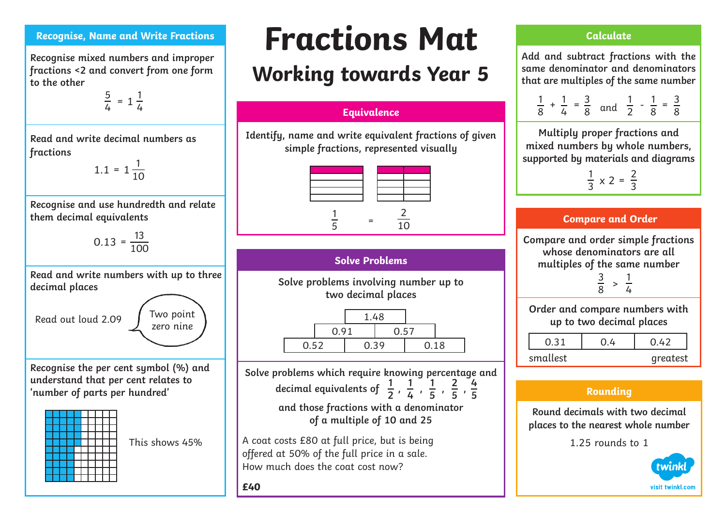#### **Recognise, Name and Write Fractions**

**Recognise mixed numbers and improper fractions <2 and convert from one form to the other** 

$$
\frac{5}{4} = 1\frac{1}{4}
$$

**Read and write decimal numbers as fractions**

 $1.1 = 1\frac{1}{10}$ 

**Recognise and use hundredth and relate them decimal equivalents**

$$
0.13 = \frac{13}{100}
$$

**Read and write numbers with up to three decimal places**

Read out loud 2.09

**Recognise the per cent symbol (%) and understand that per cent relates to 'number of parts per hundred'**



This shows 45%

Two point zero nine

# **Fractions Mat**

# **Working towards Year 5**

### **Equivalence**

**Identify, name and write equivalent fractions of given simple fractions, represented visually**



## **Solve Problems**

**Solve problems involving number up to two decimal places**

|      |      | 1.48 |      |      |  |
|------|------|------|------|------|--|
|      | 0.91 |      | 0.57 |      |  |
| 0.52 |      | 0.39 |      | 0.18 |  |

**Solve problems which require knowing percentage and**  decimal equivalents of  $\frac{1}{2}$ ,  $\frac{1}{6}$ ,  $\frac{1}{5}$ ,  $\frac{2}{5}$ **2 1 4 1 5 2 5 4 5** 

**and those fractions with a denominator of a multiple of 10 and 25** 

A coat costs £80 at full price, but is being offered at 50% of the full price in a sale. How much does the coat cost now?

**£40**

### **Calculate**

**Add and subtract fractions with the same denominator and denominators that are multiples of the same number**

|  |            |                             |     |  |  | $\prec$ |
|--|------------|-----------------------------|-----|--|--|---------|
|  | $\sqrt{1}$ | $\mathcal{S}_{\mathcal{S}}$ | hnn |  |  |         |

**Multiply proper fractions and mixed numbers by whole numbers, supported by materials and diagrams**

$$
\frac{1}{3} \times 2 = \frac{2}{3}
$$

### **Compare and Order**

**Compare and order simple fractions whose denominators are all multiples of the same number** 

$$
\frac{3}{8} > \frac{1}{4}
$$

**Order and compare numbers with up to two decimal places**

| smallest | greatest |  |
|----------|----------|--|

## **Rounding**

**Round decimals with two decimal places to the nearest whole number** 

1.25 rounds to 1

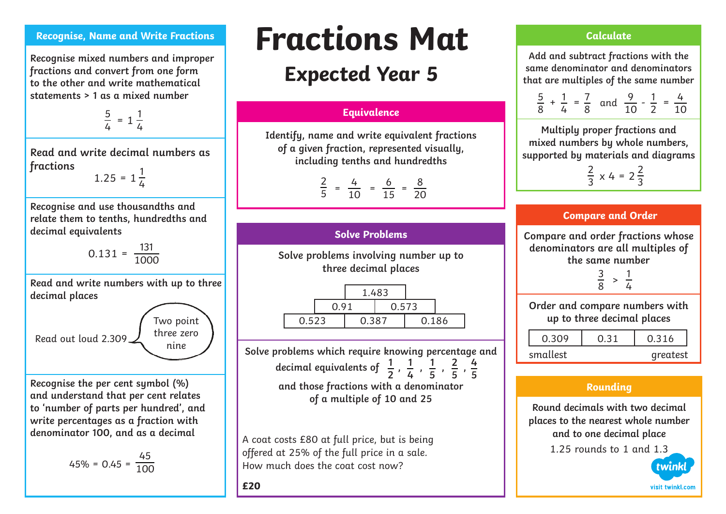#### **Recognise, Name and Write Fractions**

**Recognise mixed numbers and improper fractions and convert from one form to the other and write mathematical statements > 1 as a mixed number** 

$$
\frac{5}{4} = 1\frac{1}{4}
$$

**Read and write decimal numbers as fractions**

 $1.25 = 1\frac{1}{4}$ 

**Recognise and use thousandths and relate them to tenths, hundredths and decimal equivalents**

 $0.131 = \frac{131}{1000}$ 

**Read and write numbers with up to three decimal places**

Read out loud 2.309 Two point three zero nine

**Recognise the per cent symbol (%) and understand that per cent relates to 'number of parts per hundred', and write percentages as a fraction with denominator 100, and as a decimal**

$$
45\% = 0.45 = \frac{45}{100}
$$

# **Fractions Mat**

# **Expected Year 5**

#### **Equivalence**

**Identify, name and write equivalent fractions of a given fraction, represented visually, including tenths and hundredths**

$$
\frac{2}{5} = \frac{4}{10} = \frac{6}{15} = \frac{8}{20}
$$

**Solve Problems**

**Solve problems involving number up to three decimal places**

1.483 0.91 0.573 0.523 0.387 0.186

**Solve problems which require knowing percentage and**  decimal equivalents of  $\frac{1}{6}$ ,  $\frac{1}{6}$ ,  $\frac{1}{5}$ ,  $\frac{2}{5}$ , **and those fractions with a denominator of a multiple of 10 and 25 2 1 4 1 5 2 5 4 5** 

A coat costs £80 at full price, but is being offered at 25% of the full price in a sale. How much does the coat cost now?

#### **£20**

#### **Calculate**

**Add and subtract fractions with the same denominator and denominators that are multiples of the same number**

$$
\frac{5}{8} + \frac{1}{4} = \frac{7}{8} \text{ and } \frac{9}{10} - \frac{1}{2} = \frac{4}{10}
$$

**Multiply proper fractions and mixed numbers by whole numbers, supported by materials and diagrams**

$$
\frac{2}{3} \times 4 = 2\frac{2}{3}
$$

#### **Compare and Order**

**Compare and order fractions whose denominators are all multiples of the same number** 

$$
\frac{3}{8} > \frac{1}{4}
$$

**Order and compare numbers with up to three decimal places**

| U 3U0    | 0.316    |
|----------|----------|
| smallest | greatest |

### **Rounding**

**Round decimals with two decimal places to the nearest whole number and to one decimal place**

1.25 rounds to 1 and 1.3